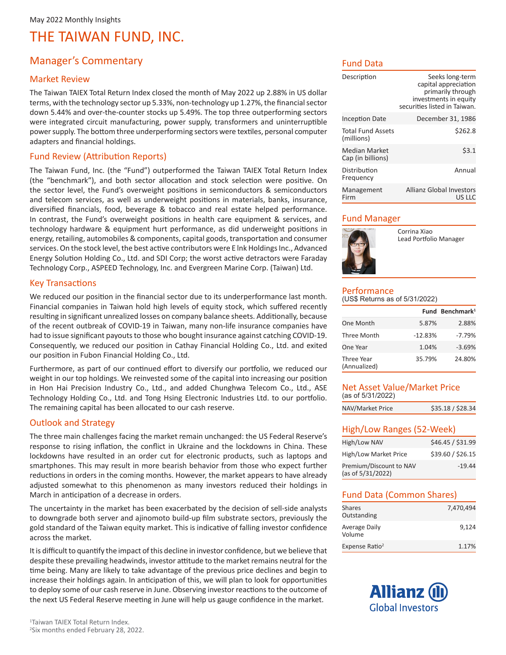### Manager's Commentary

### Market Review

The Taiwan TAIEX Total Return Index closed the month of May 2022 up 2.88% in US dollar terms, with the technology sector up 5.33%, non-technology up 1.27%, the financial sector down 5.44% and over-the-counter stocks up 5.49%. The top three outperforming sectors were integrated circuit manufacturing, power supply, transformers and uninterruptible power supply. The bottom three underperforming sectors were textiles, personal computer adapters and financial holdings.

### Fund Review (Attribution Reports)

The Taiwan Fund, Inc. (the "Fund") outperformed the Taiwan TAIEX Total Return Index (the "benchmark"), and both sector allocation and stock selection were positive. On the sector level, the Fund's overweight positions in semiconductors & semiconductors and telecom services, as well as underweight positions in materials, banks, insurance, diversified financials, food, beverage & tobacco and real estate helped performance. In contrast, the Fund's overweight positions in health care equipment & services, and technology hardware & equipment hurt performance, as did underweight positions in energy, retailing, automobiles & components, capital goods, transportation and consumer services. On the stock level, the best active contributors were E lnk Holdings Inc., Advanced Energy Solution Holding Co., Ltd. and SDI Corp; the worst active detractors were Faraday Technology Corp., ASPEED Technology, Inc. and Evergreen Marine Corp. (Taiwan) Ltd.

#### Key Transactions

We reduced our position in the financial sector due to its underperformance last month. Financial companies in Taiwan hold high levels of equity stock, which suffered recently resulting in significant unrealized losses on company balance sheets. Additionally, because of the recent outbreak of COVID-19 in Taiwan, many non-life insurance companies have had to issue significant payouts to those who bought insurance against catching COVID-19. Consequently, we reduced our position in Cathay Financial Holding Co., Ltd. and exited our position in Fubon Financial Holding Co., Ltd.

Furthermore, as part of our continued effort to diversify our portfolio, we reduced our weight in our top holdings. We reinvested some of the capital into increasing our position in Hon Hai Precision Industry Co., Ltd., and added Chunghwa Telecom Co., Ltd., ASE Technology Holding Co., Ltd. and Tong Hsing Electronic Industries Ltd. to our portfolio. The remaining capital has been allocated to our cash reserve.

### Outlook and Strategy

The three main challenges facing the market remain unchanged: the US Federal Reserve's response to rising inflation, the conflict in Ukraine and the lockdowns in China. These lockdowns have resulted in an order cut for electronic products, such as laptops and smartphones. This may result in more bearish behavior from those who expect further reductions in orders in the coming months. However, the market appears to have already adjusted somewhat to this phenomenon as many investors reduced their holdings in March in anticipation of a decrease in orders.

The uncertainty in the market has been exacerbated by the decision of sell-side analysts to downgrade both server and ajinomoto build-up film substrate sectors, previously the gold standard of the Taiwan equity market. This is indicative of falling investor confidence across the market.

It is difficult to quantify the impact of this decline in investor confidence, but we believe that despite these prevailing headwinds, investor attitude to the market remains neutral for the time being. Many are likely to take advantage of the previous price declines and begin to increase their holdings again. In anticipation of this, we will plan to look for opportunities to deploy some of our cash reserve in June. Observing investor reactions to the outcome of the next US Federal Reserve meeting in June will help us gauge confidence in the market.

### Fund Data

| Description                               | Seeks long-term<br>capital appreciation<br>primarily through<br>investments in equity<br>securities listed in Taiwan. |
|-------------------------------------------|-----------------------------------------------------------------------------------------------------------------------|
| <b>Inception Date</b>                     | December 31, 1986                                                                                                     |
| <b>Total Fund Assets</b><br>(millions)    | \$262.8                                                                                                               |
| <b>Median Market</b><br>Cap (in billions) | 53.1                                                                                                                  |
| Distribution<br>Frequency                 | Annual                                                                                                                |
| Management<br>Firm                        | Allianz Global Investors<br>US LLC                                                                                    |

### Fund Manager



Corrina Xiao Lead Portfolio Manager

#### Performance (US\$ Returns as of 5/31/2022)

|                            |           | Fund Benchmark <sup>1</sup> |
|----------------------------|-----------|-----------------------------|
| One Month                  | 5.87%     | 2.88%                       |
| Three Month                | $-12.83%$ | $-7.79%$                    |
| One Year                   | 1.04%     | $-3.69%$                    |
| Three Year<br>(Annualized) | 35.79%    | 24.80%                      |

### Net Asset Value/Market Price (as of 5/31/2022)

| \$35.18 / \$28.34 |
|-------------------|
|                   |

### High/Low Ranges (52-Week)

| High/Low NAV                                 | \$46.45 / \$31.99 |
|----------------------------------------------|-------------------|
| High/Low Market Price                        | \$39.60 / \$26.15 |
| Premium/Discount to NAV<br>(as of 5/31/2022) | $-19.44$          |

### Fund Data (Common Shares)

| Shares<br>Outstanding      | 7,470,494 |
|----------------------------|-----------|
| Average Daily<br>Volume    | 9,124     |
| Expense Ratio <sup>2</sup> | 1.17%     |

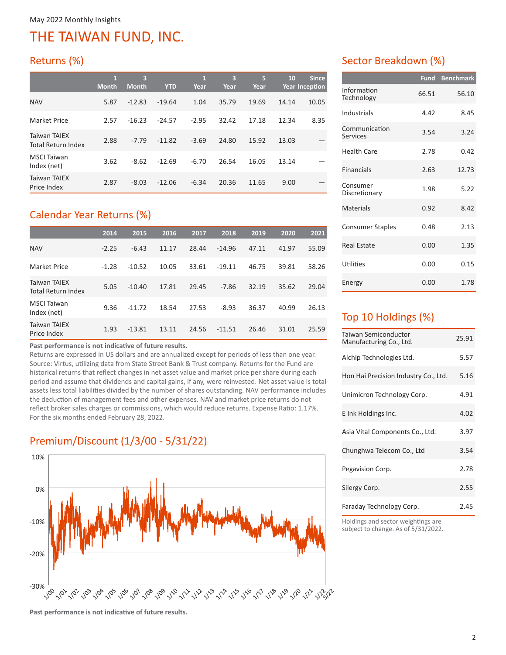## Returns (%)

|                                           | $\mathbf{1}$<br><b>Month</b> | 3<br><b>Month</b> | <b>YTD</b> | 1<br>Year | 3<br>Year | 5<br>Year | 10    | <b>Since</b><br><b>Year Inception</b> |
|-------------------------------------------|------------------------------|-------------------|------------|-----------|-----------|-----------|-------|---------------------------------------|
| <b>NAV</b>                                | 5.87                         | $-12.83$          | $-19.64$   | 1.04      | 35.79     | 19.69     | 14.14 | 10.05                                 |
| Market Price                              | 2.57                         | $-16.23$          | $-24.57$   | $-2.95$   | 32.42     | 17.18     | 12.34 | 8.35                                  |
| <b>Taiwan TAIEX</b><br>Total Return Index | 2.88                         | $-7.79$           | $-11.82$   | $-3.69$   | 24.80     | 15.92     | 13.03 |                                       |
| <b>MSCI</b> Taiwan<br>Index (net)         | 3.62                         | $-8.62$           | $-12.69$   | $-6.70$   | 26.54     | 16.05     | 13.14 |                                       |
| <b>Taiwan TAIEX</b><br>Price Index        | 2.87                         | $-8.03$           | $-12.06$   | $-6.34$   | 20.36     | 11.65     | 9.00  |                                       |

## Calendar Year Returns (%)

|                                                  | 2014    | 2015     | 2016  | 2017  | 2018     | 2019  | 2020  | 2021  |
|--------------------------------------------------|---------|----------|-------|-------|----------|-------|-------|-------|
| <b>NAV</b>                                       | $-2.25$ | $-6.43$  | 11.17 | 28.44 | $-14.96$ | 47.11 | 41.97 | 55.09 |
| <b>Market Price</b>                              | $-1.28$ | $-10.52$ | 10.05 | 33.61 | $-19.11$ | 46.75 | 39.81 | 58.26 |
| <b>Taiwan TAIEX</b><br><b>Total Return Index</b> | 5.05    | $-10.40$ | 17.81 | 29.45 | $-7.86$  | 32.19 | 35.62 | 29.04 |
| <b>MSCI Taiwan</b><br>Index (net)                | 9.36    | $-11.72$ | 18.54 | 27.53 | $-8.93$  | 36.37 | 40.99 | 26.13 |
| Taiwan TAIEX<br>Price Index                      | 1.93    | $-13.81$ | 13.11 | 24.56 | $-11.51$ | 26.46 | 31.01 | 25.59 |

### **Past performance is not indicative of future results.**

Returns are expressed in US dollars and are annualized except for periods of less than one year. Source: Virtus, utilizing data from State Street Bank & Trust company. Returns for the Fund are historical returns that reflect changes in net asset value and market price per share during each period and assume that dividends and capital gains, if any, were reinvested. Net asset value is total assets less total liabilities divided by the number of shares outstanding. NAV performance includes the deduction of management fees and other expenses. NAV and market price returns do not reflect broker sales charges or commissions, which would reduce returns. Expense Ratio: 1.17%. For the six months ended February 28, 2022.

## Premium/Discount (1/3/00 - 5/31/22)



### Sector Breakdown (%)

|                                  | <b>Fund</b> | <b>Benchmark</b> |
|----------------------------------|-------------|------------------|
| Information<br>Technology        | 66.51       | 56.10            |
| Industrials                      | 4.42        | 8.45             |
| Communication<br><b>Services</b> | 3.54        | 3.24             |
| Health Care                      | 2.78        | 0.42             |
| <b>Financials</b>                | 2.63        | 12.73            |
| Consumer<br>Discretionary        | 1.98        | 5.22             |
| <b>Materials</b>                 | 0.92        | 8.42             |
| <b>Consumer Staples</b>          | 0.48        | 2.13             |
| <b>Real Estate</b>               | 0.00        | 1.35             |
| Utilities                        | 0.00        | 0.15             |
| Energy                           | 0.00        | 1.78             |

## Top 10 Holdings (%)

| Taiwan Semiconductor<br>Manufacturing Co., Ltd. | 25.91 |
|-------------------------------------------------|-------|
| Alchip Technologies Ltd.                        | 5.57  |
| Hon Hai Precision Industry Co., Ltd.            | 5.16  |
| Unimicron Technology Corp.                      | 4.91  |
| E Ink Holdings Inc.                             | 4.02  |
| Asia Vital Components Co., Ltd.                 | 3.97  |
| Chunghwa Telecom Co., Ltd                       | 3.54  |
| Pegavision Corp.                                | 2.78  |
| Silergy Corp.                                   | 2.55  |
| Faraday Technology Corp.                        | 2.45  |

Holdings and sector weightings are subject to change. As of 5/31/2022.

**Past performance is not indicative of future results.**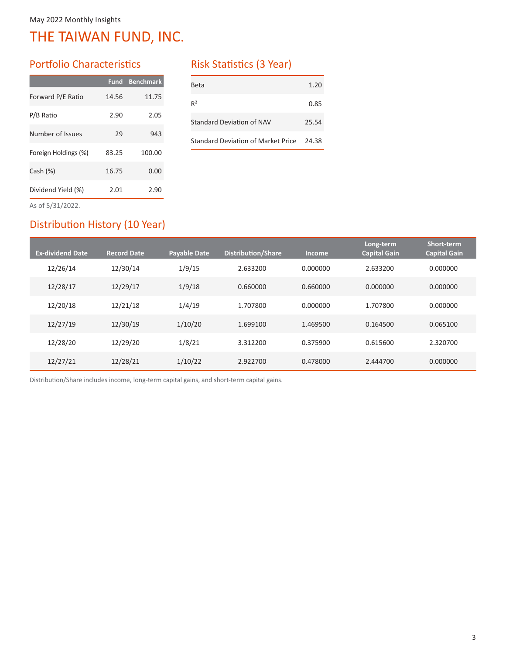### Portfolio Characteristics

| Fund  | <b>Benchmark</b> |
|-------|------------------|
| 14.56 | 11.75            |
| 2.90  | 2.05             |
| 29    | 943              |
| 83.25 | 100.00           |
| 16.75 | 0.00             |
| 2.01  | 2.90             |
|       |                  |

### Risk Statistics (3 Year)

| Beta                               | 1.20  |
|------------------------------------|-------|
| $R^2$                              | 0.85  |
| Standard Deviation of NAV          | 25.54 |
| Standard Deviation of Market Price | 24.38 |

As of 5/31/2022.

### Distribution History (10 Year)

| <b>Ex-dividend Date</b> | <b>Record Date</b> | <b>Payable Date</b> | <b>Distribution/Share</b> | <b>Income</b> | Long-term<br><b>Capital Gain</b> | Short-term<br><b>Capital Gain</b> |
|-------------------------|--------------------|---------------------|---------------------------|---------------|----------------------------------|-----------------------------------|
| 12/26/14                | 12/30/14           | 1/9/15              | 2.633200                  | 0.000000      | 2.633200                         | 0.000000                          |
| 12/28/17                | 12/29/17           | 1/9/18              | 0.660000                  | 0.660000      | 0.000000                         | 0.000000                          |
| 12/20/18                | 12/21/18           | 1/4/19              | 1.707800                  | 0.000000      | 1.707800                         | 0.000000                          |
| 12/27/19                | 12/30/19           | 1/10/20             | 1.699100                  | 1.469500      | 0.164500                         | 0.065100                          |
| 12/28/20                | 12/29/20           | 1/8/21              | 3.312200                  | 0.375900      | 0.615600                         | 2.320700                          |
| 12/27/21                | 12/28/21           | 1/10/22             | 2.922700                  | 0.478000      | 2.444700                         | 0.000000                          |

Distribution/Share includes income, long-term capital gains, and short-term capital gains.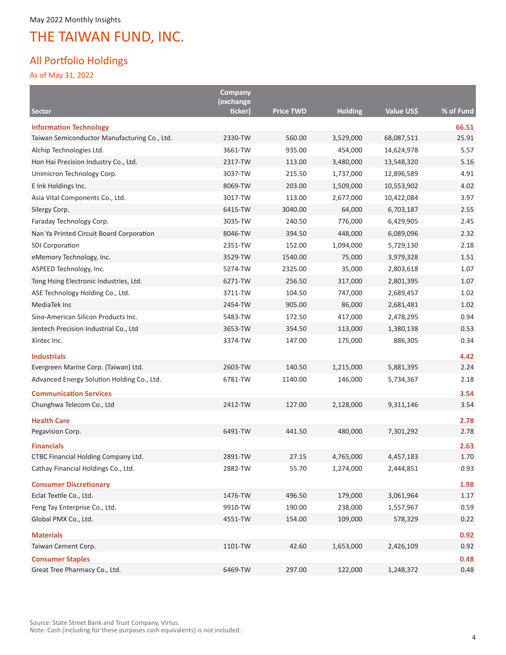### All Portfolio Holdings

As of May 31, 2022

|                                              | Company              |                  |                |            |           |
|----------------------------------------------|----------------------|------------------|----------------|------------|-----------|
| <b>Sector</b>                                | (exchange<br>ticker) | <b>Price TWD</b> | <b>Holding</b> | Value US\$ | % of Fund |
| <b>Information Technology</b>                |                      |                  |                |            | 66.51     |
| Taiwan Semiconductor Manufacturing Co., Ltd. | 2330-TW              | 560.00           | 3,529,000      | 68,087,511 | 25.91     |
| Alchip Technologies Ltd.                     | 3661-TW              | 935.00           | 454,000        | 14,624,978 | 5.57      |
| Hon Hai Precision Industry Co., Ltd.         | 2317-TW              | 113.00           | 3,480,000      | 13,548,320 | 5.16      |
| Unimicron Technology Corp.                   | 3037-TW              | 215.50           | 1,737,000      | 12,896,589 | 4.91      |
| E Ink Holdings Inc.                          | 8069-TW              | 203.00           | 1,509,000      | 10,553,902 | 4.02      |
| Asia Vital Components Co., Ltd.              | 3017-TW              | 113.00           | 2,677,000      | 10,422,084 | 3.97      |
| Silergy Corp.                                | 6415-TW              | 3040.00          | 64,000         | 6,703,187  | 2.55      |
| Faraday Technology Corp.                     | 3035-TW              | 240.50           | 776,000        | 6,429,905  | 2.45      |
| Nan Ya Printed Circuit Board Corporation     | 8046-TW              | 394.50           | 448,000        | 6,089,096  | 2.32      |
| <b>SDI Corporation</b>                       | 2351-TW              | 152.00           | 1,094,000      | 5,729,130  | 2.18      |
| eMemory Technology, Inc.                     | 3529-TW              | 1540.00          | 75,000         | 3,979,328  | 1.51      |
| ASPEED Technology, Inc.                      | 5274-TW              | 2325.00          | 35,000         | 2,803,618  | 1.07      |
| Tong Hsing Electronic Industries, Ltd.       | 6271-TW              | 256.50           | 317,000        | 2,801,395  | 1.07      |
| ASE Technology Holding Co., Ltd.             | 3711-TW              | 104.50           | 747,000        | 2,689,457  | 1.02      |
| MediaTek Inc                                 | 2454-TW              | 905.00           | 86,000         | 2,681,481  | 1.02      |
| Sino-American Silicon Products Inc.          | 5483-TW              | 172.50           | 417,000        | 2,478,295  | 0.94      |
| Jentech Precision Industrial Co., Ltd        | 3653-TW              | 354.50           | 113,000        | 1,380,138  | 0.53      |
| Xintec Inc.                                  | 3374-TW              | 147.00           | 175,000        | 886,305    | 0.34      |
| <b>Industrials</b>                           |                      |                  |                |            | 4.42      |
| Evergreen Marine Corp. (Taiwan) Ltd.         | 2603-TW              | 140.50           | 1,215,000      | 5,881,395  | 2.24      |
| Advanced Energy Solution Holding Co., Ltd.   | 6781-TW              | 1140.00          | 146,000        | 5,734,367  | 2.18      |
| <b>Communication Services</b>                |                      |                  |                |            | 3.54      |
| Chunghwa Telecom Co., Ltd                    | 2412-TW              | 127.00           | 2,128,000      | 9,311,146  | 3.54      |
| <b>Health Care</b>                           |                      |                  |                |            | 2.78      |
| Pegavision Corp.                             | 6491-TW              | 441.50           | 480,000        | 7,301,292  | 2.78      |
| <b>Financials</b>                            |                      |                  |                |            | 2.63      |
| CTBC Financial Holding Company Ltd.          | 2891-TW              | 27.15            | 4,765,000      | 4,457,183  | 1.70      |
| Cathay Financial Holdings Co., Ltd.          | 2882-TW              | 55.70            | 1,274,000      | 2,444,851  | 0.93      |
| <b>Consumer Discretionary</b>                |                      |                  |                |            | 1.98      |
| Eclat Textile Co., Ltd.                      | 1476-TW              | 496.50           | 179,000        | 3,061,964  | 1.17      |
| Feng Tay Enterprise Co., Ltd.                | 9910-TW              | 190.00           | 238,000        | 1,557,967  | 0.59      |
| Global PMX Co., Ltd.                         | 4551-TW              | 154.00           | 109,000        | 578,329    | 0.22      |
| <b>Materials</b>                             |                      |                  |                |            | 0.92      |
| Taiwan Cement Corp.                          | 1101-TW              | 42.60            | 1,653,000      | 2,426,109  | 0.92      |
| <b>Consumer Staples</b>                      |                      |                  |                |            | 0.48      |
| Great Tree Pharmacy Co., Ltd.                | 6469-TW              | 297.00           | 122,000        | 1,248,372  | 0.48      |